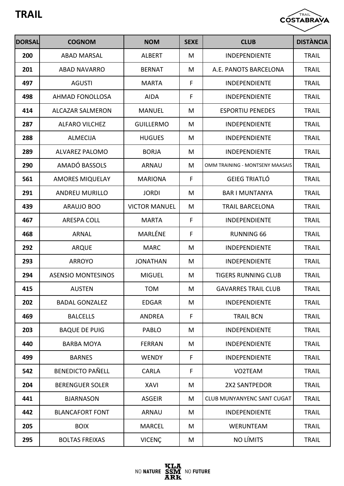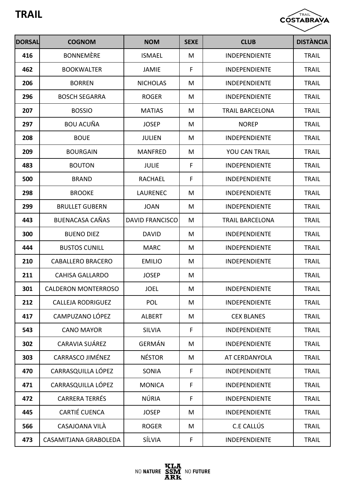

| <b>DORSAL</b> | <b>COGNOM</b>              | <b>NOM</b>             | <b>SEXE</b> | <b>CLUB</b>            | <b>DISTÀNCIA</b> |
|---------------|----------------------------|------------------------|-------------|------------------------|------------------|
| 416           | <b>BONNEMÈRE</b>           | <b>ISMAEL</b>          | M           | INDEPENDIENTE          | <b>TRAIL</b>     |
| 462           | <b>BOOKWALTER</b>          | <b>JAMIE</b>           | F           | <b>INDEPENDIENTE</b>   | <b>TRAIL</b>     |
| 206           | <b>BORREN</b>              | <b>NICHOLAS</b>        | M           | <b>INDEPENDIENTE</b>   | <b>TRAIL</b>     |
| 296           | <b>BOSCH SEGARRA</b>       | <b>ROGER</b>           | M           | <b>INDEPENDIENTE</b>   | <b>TRAIL</b>     |
| 207           | <b>BOSSIO</b>              | <b>MATIAS</b>          | M           | <b>TRAIL BARCELONA</b> | <b>TRAIL</b>     |
| 297           | <b>BOU ACUÑA</b>           | <b>JOSEP</b>           | M           | <b>NOREP</b>           | <b>TRAIL</b>     |
| 208           | <b>BOUE</b>                | <b>JULIEN</b>          | M           | <b>INDEPENDIENTE</b>   | <b>TRAIL</b>     |
| 209           | <b>BOURGAIN</b>            | <b>MANFRED</b>         | M           | <b>YOU CAN TRAIL</b>   | <b>TRAIL</b>     |
| 483           | <b>BOUTON</b>              | <b>JULIE</b>           | F           | <b>INDEPENDIENTE</b>   | <b>TRAIL</b>     |
| 500           | <b>BRAND</b>               | <b>RACHAEL</b>         | F           | <b>INDEPENDIENTE</b>   | <b>TRAIL</b>     |
| 298           | <b>BROOKE</b>              | <b>LAURENEC</b>        | M           | <b>INDEPENDIENTE</b>   | <b>TRAIL</b>     |
| 299           | <b>BRULLET GUBERN</b>      | <b>JOAN</b>            | M           | <b>INDEPENDIENTE</b>   | <b>TRAIL</b>     |
| 443           | <b>BUENACASA CAÑAS</b>     | <b>DAVID FRANCISCO</b> | M           | <b>TRAIL BARCELONA</b> | <b>TRAIL</b>     |
| 300           | <b>BUENO DIEZ</b>          | <b>DAVID</b>           | M           | <b>INDEPENDIENTE</b>   | <b>TRAIL</b>     |
| 444           | <b>BUSTOS CUNILL</b>       | <b>MARC</b>            | M           | <b>INDEPENDIENTE</b>   | <b>TRAIL</b>     |
| 210           | <b>CABALLERO BRACERO</b>   | <b>EMILIO</b>          | M           | <b>INDEPENDIENTE</b>   | <b>TRAIL</b>     |
| 211           | <b>CAHISA GALLARDO</b>     | <b>JOSEP</b>           | M           |                        | <b>TRAIL</b>     |
| 301           | <b>CALDERON MONTERROSO</b> | <b>JOEL</b>            | M           | <b>INDEPENDIENTE</b>   | <b>TRAIL</b>     |
| 212           | <b>CALLEJA RODRIGUEZ</b>   | POL                    | M           | <b>INDEPENDIENTE</b>   | <b>TRAIL</b>     |
| 417           | CAMPUZANO LÓPEZ            | <b>ALBERT</b>          | M           | <b>CEX BLANES</b>      | <b>TRAIL</b>     |
| 543           | <b>CANO MAYOR</b>          | <b>SILVIA</b>          | F           | <b>INDEPENDIENTE</b>   | <b>TRAIL</b>     |
| 302           | CARAVIA SUÁREZ             | <b>GERMÁN</b>          | M           | <b>INDEPENDIENTE</b>   | <b>TRAIL</b>     |
| 303           | <b>CARRASCO JIMÉNEZ</b>    | <b>NÉSTOR</b>          | M           | AT CERDANYOLA          | <b>TRAIL</b>     |
| 470           | CARRASQUILLA LÓPEZ         | <b>SONIA</b>           | F           | <b>INDEPENDIENTE</b>   | <b>TRAIL</b>     |
| 471           | CARRASQUILLA LÓPEZ         | <b>MONICA</b>          | F           | <b>INDEPENDIENTE</b>   | <b>TRAIL</b>     |
| 472           | <b>CARRERA TERRÉS</b>      | NÚRIA                  | F           | <b>INDEPENDIENTE</b>   | <b>TRAIL</b>     |
| 445           | <b>CARTIÉ CUENCA</b>       | <b>JOSEP</b>           | M           | <b>INDEPENDIENTE</b>   | <b>TRAIL</b>     |
| 566           | CASAJOANA VILA             | <b>ROGER</b>           | M           | C.E CALLÚS             | <b>TRAIL</b>     |
| 473           | CASAMITJANA GRABOLEDA      | SÍLVIA                 | F           | INDEPENDIENTE          | <b>TRAIL</b>     |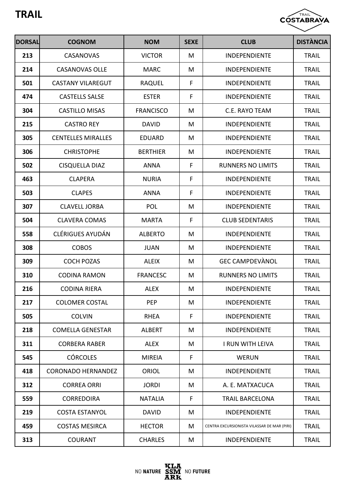

| <b>DORSAL</b> | <b>COGNOM</b>             | <b>NOM</b>       | <b>SEXE</b> | <b>CLUB</b>                                 | <b>DISTÀNCIA</b> |
|---------------|---------------------------|------------------|-------------|---------------------------------------------|------------------|
| 213           | <b>CASANOVAS</b>          | <b>VICTOR</b>    | M           | <b>INDEPENDIENTE</b>                        | <b>TRAIL</b>     |
| 214           | <b>CASANOVAS OLLE</b>     | <b>MARC</b>      | M           | <b>INDEPENDIENTE</b>                        | <b>TRAIL</b>     |
| 501           | <b>CASTANY VILAREGUT</b>  | <b>RAQUEL</b>    | F           | <b>INDEPENDIENTE</b>                        | <b>TRAIL</b>     |
| 474           | <b>CASTELLS SALSE</b>     | <b>ESTER</b>     | F           | <b>INDEPENDIENTE</b>                        | <b>TRAIL</b>     |
| 304           | <b>CASTILLO MISAS</b>     | <b>FRANCISCO</b> | M           | C.E. RAYO TEAM                              | <b>TRAIL</b>     |
| 215           | <b>CASTRO REY</b>         | <b>DAVID</b>     | M           | <b>INDEPENDIENTE</b>                        | <b>TRAIL</b>     |
| 305           | <b>CENTELLES MIRALLES</b> | <b>EDUARD</b>    | M           | <b>INDEPENDIENTE</b>                        | <b>TRAIL</b>     |
| 306           | <b>CHRISTOPHE</b>         | <b>BERTHIER</b>  | M           | <b>INDEPENDIENTE</b>                        | <b>TRAIL</b>     |
| 502           | <b>CISQUELLA DIAZ</b>     | <b>ANNA</b>      | F           | <b>RUNNERS NO LIMITS</b>                    | <b>TRAIL</b>     |
| 463           | <b>CLAPERA</b>            | <b>NURIA</b>     | F           | <b>INDEPENDIENTE</b>                        | <b>TRAIL</b>     |
| 503           | <b>CLAPES</b>             | <b>ANNA</b>      | F           | <b>INDEPENDIENTE</b>                        | <b>TRAIL</b>     |
| 307           | <b>CLAVELL JORBA</b>      | <b>POL</b>       | M           | <b>INDEPENDIENTE</b>                        | <b>TRAIL</b>     |
| 504           | <b>CLAVERA COMAS</b>      | <b>MARTA</b>     | F           | <b>CLUB SEDENTARIS</b>                      | <b>TRAIL</b>     |
| 558           | <b>CLÉRIGUES AYUDÁN</b>   | <b>ALBERTO</b>   | M           | INDEPENDIENTE                               | <b>TRAIL</b>     |
| 308           | <b>COBOS</b>              | <b>JUAN</b>      | M           | INDEPENDIENTE                               | <b>TRAIL</b>     |
| 309           | <b>COCH POZAS</b>         | <b>ALEIX</b>     | M           | <b>GEC CAMPDEVANOL</b>                      | <b>TRAIL</b>     |
| 310           | <b>CODINA RAMON</b>       | <b>FRANCESC</b>  | M           | <b>RUNNERS NO LIMITS</b>                    | <b>TRAIL</b>     |
| 216           | <b>CODINA RIERA</b>       | <b>ALEX</b>      | M           | <b>INDEPENDIENTE</b>                        | <b>TRAIL</b>     |
| 217           | <b>COLOMER COSTAL</b>     | PEP              | M           | <b>INDEPENDIENTE</b>                        | <b>TRAIL</b>     |
| 505           | <b>COLVIN</b>             | <b>RHEA</b>      | F           | <b>INDEPENDIENTE</b>                        | <b>TRAIL</b>     |
| 218           | <b>COMELLA GENESTAR</b>   | <b>ALBERT</b>    | M           | <b>INDEPENDIENTE</b>                        | <b>TRAIL</b>     |
| 311           | <b>CORBERA RABER</b>      | <b>ALEX</b>      | M           | I RUN WITH LEIVA                            | <b>TRAIL</b>     |
| 545           | <b>CÓRCOLES</b>           | <b>MIREIA</b>    | F           | <b>WERUN</b>                                | <b>TRAIL</b>     |
| 418           | <b>CORONADO HERNANDEZ</b> | ORIOL            | M           | <b>INDEPENDIENTE</b>                        | <b>TRAIL</b>     |
| 312           | <b>CORREA ORRI</b>        | <b>JORDI</b>     | M           | A. E. MATXACUCA                             | <b>TRAIL</b>     |
| 559           | <b>CORREDOIRA</b>         | <b>NATALIA</b>   | F           | <b>TRAIL BARCELONA</b>                      | <b>TRAIL</b>     |
| 219           | <b>COSTA ESTANYOL</b>     | <b>DAVID</b>     | M           | <b>INDEPENDIENTE</b>                        | <b>TRAIL</b>     |
| 459           | <b>COSTAS MESIRCA</b>     | <b>HECTOR</b>    | M           | CENTRA EXCURSIONISTA VILASSAR DE MAR (PIRI) | <b>TRAIL</b>     |
| 313           | <b>COURANT</b>            | <b>CHARLES</b>   | M           | <b>INDEPENDIENTE</b>                        | <b>TRAIL</b>     |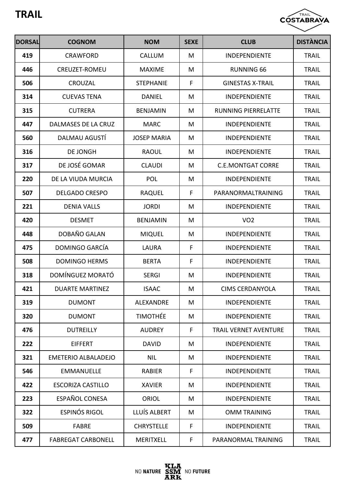

| <b>DORSAL</b> | <b>COGNOM</b>              | <b>NOM</b>         | <b>SEXE</b> | <b>CLUB</b>                  | <b>DISTÀNCIA</b> |
|---------------|----------------------------|--------------------|-------------|------------------------------|------------------|
| 419           | <b>CRAWFORD</b>            | CALLUM             | M           | <b>INDEPENDIENTE</b>         | <b>TRAIL</b>     |
| 446           | CREUZET-ROMEU              | <b>MAXIME</b>      | M           | <b>RUNNING 66</b>            | <b>TRAIL</b>     |
| 506           | CROUZAL                    | <b>STEPHANIE</b>   | F           | <b>GINESTAS X-TRAIL</b>      | <b>TRAIL</b>     |
| 314           | <b>CUEVAS TENA</b>         | <b>DANIEL</b>      | M           | <b>INDEPENDIENTE</b>         | <b>TRAIL</b>     |
| 315           | <b>CUTRERA</b>             | <b>BENJAMIN</b>    | M           | <b>RUNNING PIERRELATTE</b>   | <b>TRAIL</b>     |
| 447           | DALMASES DE LA CRUZ        | <b>MARC</b>        | M           | <b>INDEPENDIENTE</b>         | <b>TRAIL</b>     |
| 560           | DALMAU AGUSTI              | <b>JOSEP MARIA</b> | M           | <b>INDEPENDIENTE</b>         | <b>TRAIL</b>     |
| 316           | <b>DE JONGH</b>            | <b>RAOUL</b>       | M           | <b>INDEPENDIENTE</b>         | <b>TRAIL</b>     |
| 317           | DE JOSÉ GOMAR              | <b>CLAUDI</b>      | M           | <b>C.E.MONTGAT CORRE</b>     | <b>TRAIL</b>     |
| 220           | DE LA VIUDA MURCIA         | <b>POL</b>         | M           | <b>INDEPENDIENTE</b>         | <b>TRAIL</b>     |
| 507           | <b>DELGADO CRESPO</b>      | <b>RAQUEL</b>      | F           | PARANORMALTRAINING           | <b>TRAIL</b>     |
| 221           | <b>DENIA VALLS</b>         | <b>JORDI</b>       | M           | <b>INDEPENDIENTE</b>         | <b>TRAIL</b>     |
| 420           | <b>DESMET</b>              | <b>BENJAMIN</b>    | M           | VO <sub>2</sub>              | <b>TRAIL</b>     |
| 448           | DOBAÑO GALAN               | <b>MIQUEL</b>      | M           | <b>INDEPENDIENTE</b>         | <b>TRAIL</b>     |
| 475           | DOMINGO GARCÍA             | <b>LAURA</b>       | F           | <b>INDEPENDIENTE</b>         | <b>TRAIL</b>     |
| 508           | <b>DOMINGO HERMS</b>       | <b>BERTA</b>       | F           | <b>INDEPENDIENTE</b>         | <b>TRAIL</b>     |
| 318           | DOMÍNGUEZ MORATÓ           | <b>SERGI</b>       | M           | <b>INDEPENDIENTE</b>         | <b>TRAIL</b>     |
| 421           | <b>DUARTE MARTINEZ</b>     | <b>ISAAC</b>       | M           | <b>CIMS CERDANYOLA</b>       | <b>TRAIL</b>     |
| 319           | <b>DUMONT</b>              | <b>ALEXANDRE</b>   | M           | <b>INDEPENDIENTE</b>         | <b>TRAIL</b>     |
| 320           | <b>DUMONT</b>              | <b>TIMOTHÉE</b>    | M           | <b>INDEPENDIENTE</b>         | <b>TRAIL</b>     |
| 476           | <b>DUTREILLY</b>           | <b>AUDREY</b>      | F           | <b>TRAIL VERNET AVENTURE</b> | <b>TRAIL</b>     |
| 222           | <b>EIFFERT</b>             | <b>DAVID</b>       | M           | <b>INDEPENDIENTE</b>         | <b>TRAIL</b>     |
| 321           | <b>EMETERIO ALBALADEJO</b> | <b>NIL</b>         | M           | <b>INDEPENDIENTE</b>         | <b>TRAIL</b>     |
| 546           | <b>EMMANUELLE</b>          | <b>RABIER</b>      | F           | <b>INDEPENDIENTE</b>         | <b>TRAIL</b>     |
| 422           | <b>ESCORIZA CASTILLO</b>   | <b>XAVIER</b>      | M           | <b>INDEPENDIENTE</b>         | <b>TRAIL</b>     |
| 223           | <b>ESPAÑOL CONESA</b>      | <b>ORIOL</b>       | M           | <b>INDEPENDIENTE</b>         | <b>TRAIL</b>     |
| 322           | ESPINÓS RIGOL              | LLUÍS ALBERT       | M           | <b>OMM TRAINING</b>          | <b>TRAIL</b>     |
| 509           | <b>FABRE</b>               | <b>CHRYSTELLE</b>  | F           | <b>INDEPENDIENTE</b>         | <b>TRAIL</b>     |
| 477           | <b>FABREGAT CARBONELL</b>  | <b>MERITXELL</b>   | F           | PARANORMAL TRAINING          | <b>TRAIL</b>     |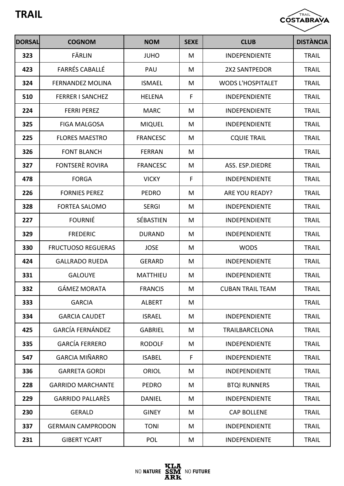

| <b>DORSAL</b> | <b>COGNOM</b>             | <b>NOM</b>       | <b>SEXE</b> | <b>CLUB</b>              | <b>DISTÀNCIA</b> |
|---------------|---------------------------|------------------|-------------|--------------------------|------------------|
| 323           | FÄRLIN                    | <b>JUHO</b>      | M           | <b>INDEPENDIENTE</b>     | <b>TRAIL</b>     |
| 423           | <b>FARRÉS CABALLÉ</b>     | PAU              | M           | 2X2 SANTPEDOR            | <b>TRAIL</b>     |
| 324           | <b>FERNANDEZ MOLINA</b>   | <b>ISMAEL</b>    | M           | <b>WODS L'HOSPITALET</b> | <b>TRAIL</b>     |
| 510           | <b>FERRER I SANCHEZ</b>   | <b>HELENA</b>    | F           | <b>INDEPENDIENTE</b>     | <b>TRAIL</b>     |
| 224           | <b>FERRI PEREZ</b>        | <b>MARC</b>      | M           | <b>INDEPENDIENTE</b>     | <b>TRAIL</b>     |
| 325           | <b>FIGA MALGOSA</b>       | <b>MIQUEL</b>    | M           | <b>INDEPENDIENTE</b>     | <b>TRAIL</b>     |
| 225           | <b>FLORES MAESTRO</b>     | <b>FRANCESC</b>  | M           | <b>CQUIE TRAIL</b>       | <b>TRAIL</b>     |
| 326           | <b>FONT BLANCH</b>        | <b>FERRAN</b>    | M           |                          | <b>TRAIL</b>     |
| 327           | FONTSERÈ ROVIRA           | <b>FRANCESC</b>  | M           | ASS. ESP.DIEDRE          | <b>TRAIL</b>     |
| 478           | <b>FORGA</b>              | <b>VICKY</b>     | F           | <b>INDEPENDIENTE</b>     | <b>TRAIL</b>     |
| 226           | <b>FORNIES PEREZ</b>      | <b>PEDRO</b>     | M           | <b>ARE YOU READY?</b>    | <b>TRAIL</b>     |
| 328           | <b>FORTEA SALOMO</b>      | <b>SERGI</b>     | M           | <b>INDEPENDIENTE</b>     | <b>TRAIL</b>     |
| 227           | <b>FOURNIÉ</b>            | <b>SÉBASTIEN</b> | M           | <b>INDEPENDIENTE</b>     | <b>TRAIL</b>     |
| 329           | <b>FREDERIC</b>           | <b>DURAND</b>    | M           | <b>INDEPENDIENTE</b>     | <b>TRAIL</b>     |
| 330           | <b>FRUCTUOSO REGUERAS</b> | <b>JOSE</b>      | M           | <b>WODS</b>              | <b>TRAIL</b>     |
| 424           | <b>GALLRADO RUEDA</b>     | <b>GERARD</b>    | M           | INDEPENDIENTE            | <b>TRAIL</b>     |
| 331           | <b>GALOUYE</b>            | <b>MATTHIEU</b>  | M           | <b>INDEPENDIENTE</b>     | <b>TRAIL</b>     |
| 332           | <b>GÁMEZ MORATA</b>       | <b>FRANCIS</b>   | M           | <b>CUBAN TRAIL TEAM</b>  | <b>TRAIL</b>     |
| 333           | <b>GARCIA</b>             | <b>ALBERT</b>    | M           |                          | <b>TRAIL</b>     |
| 334           | <b>GARCIA CAUDET</b>      | <b>ISRAEL</b>    | M           | <b>INDEPENDIENTE</b>     | <b>TRAIL</b>     |
| 425           | <b>GARCÍA FERNÁNDEZ</b>   | <b>GABRIEL</b>   | M           | <b>TRAILBARCELONA</b>    | <b>TRAIL</b>     |
| 335           | <b>GARCÍA FERRERO</b>     | <b>RODOLF</b>    | M           | <b>INDEPENDIENTE</b>     | <b>TRAIL</b>     |
| 547           | <b>GARCIA MIÑARRO</b>     | <b>ISABEL</b>    | F           | <b>INDEPENDIENTE</b>     | <b>TRAIL</b>     |
| 336           | <b>GARRETA GORDI</b>      | <b>ORIOL</b>     | M           | <b>INDEPENDIENTE</b>     | <b>TRAIL</b>     |
| 228           | <b>GARRIDO MARCHANTE</b>  | <b>PEDRO</b>     | M           | <b>BTQI RUNNERS</b>      | <b>TRAIL</b>     |
| 229           | <b>GARRIDO PALLARÈS</b>   | <b>DANIEL</b>    | M           | <b>INDEPENDIENTE</b>     | <b>TRAIL</b>     |
| 230           | <b>GERALD</b>             | <b>GINEY</b>     | M           | <b>CAP BOLLENE</b>       | <b>TRAIL</b>     |
| 337           | <b>GERMAIN CAMPRODON</b>  | <b>TONI</b>      | M           | <b>INDEPENDIENTE</b>     | <b>TRAIL</b>     |
| 231           | <b>GIBERT YCART</b>       | <b>POL</b>       | M           | <b>INDEPENDIENTE</b>     | <b>TRAIL</b>     |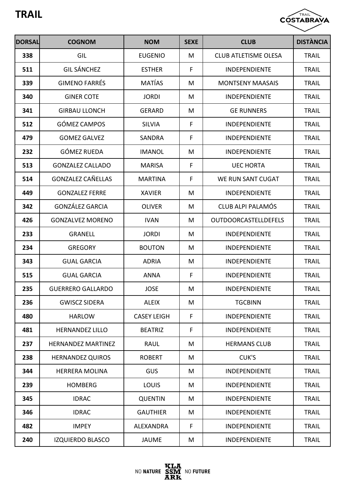

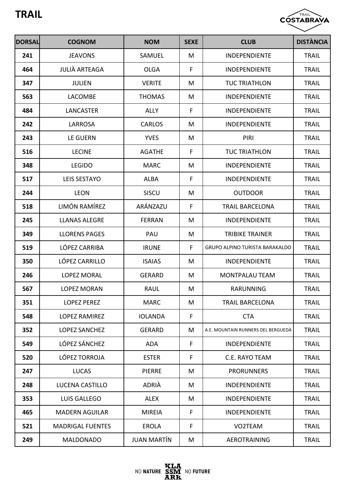

| <b>DORSAL</b> | <b>COGNOM</b>           | <b>NOM</b>         | <b>SEXE</b> | <b>CLUB</b>                           | <b>DISTÀNCIA</b> |
|---------------|-------------------------|--------------------|-------------|---------------------------------------|------------------|
| 241           | <b>JEAVONS</b>          | SAMUEL             | M           | <b>INDEPENDIENTE</b>                  | <b>TRAIL</b>     |
| 464           | <b>JULIÀ ARTEAGA</b>    | <b>OLGA</b>        | F           | <b>INDEPENDIENTE</b>                  | <b>TRAIL</b>     |
| 347           | <b>JULIEN</b>           | <b>VERITE</b>      | M           | <b>TUC TRIATHLON</b>                  | <b>TRAIL</b>     |
| 563           | <b>LACOMBE</b>          | <b>THOMAS</b>      | M           | <b>INDEPENDIENTE</b>                  | <b>TRAIL</b>     |
| 484           | <b>LANCASTER</b>        | <b>ALLY</b>        | F           | <b>INDEPENDIENTE</b>                  | <b>TRAIL</b>     |
| 242           | <b>LARROSA</b>          | <b>CARLOS</b>      | M           | <b>INDEPENDIENTE</b>                  | <b>TRAIL</b>     |
| 243           | LE GUERN                | <b>YVES</b>        | M           | PIRI                                  | <b>TRAIL</b>     |
| 516           | <b>LECINE</b>           | <b>AGATHE</b>      | F           | <b>TUC TRIATHLON</b>                  | <b>TRAIL</b>     |
| 348           | <b>LEGIDO</b>           | <b>MARC</b>        | M           | <b>INDEPENDIENTE</b>                  | <b>TRAIL</b>     |
| 517           | <b>LEIS SESTAYO</b>     | <b>ALBA</b>        | F           | <b>INDEPENDIENTE</b>                  | <b>TRAIL</b>     |
| 244           | <b>LEON</b>             | SISCU              | M           | <b>OUTDOOR</b>                        | <b>TRAIL</b>     |
| 518           | <b>LIMÓN RAMÍREZ</b>    | ARÁNZAZU           | F           | <b>TRAIL BARCELONA</b>                | <b>TRAIL</b>     |
| 245           | <b>LLANAS ALEGRE</b>    | <b>FERRAN</b>      | M           | <b>INDEPENDIENTE</b>                  | <b>TRAIL</b>     |
| 349           | <b>LLORENS PAGES</b>    | PAU                | M           | <b>TRIBIKE TRAINER</b>                | <b>TRAIL</b>     |
| 519           | LÓPEZ CARRIBA           | <b>IRUNE</b>       | F           | <b>GRUPO ALPINO TURISTA BARAKALDO</b> | <b>TRAIL</b>     |
| 350           | LÓPEZ CARRILLO          | <b>ISAIAS</b>      | M           | <b>INDEPENDIENTE</b>                  | <b>TRAIL</b>     |
| 246           | <b>LOPEZ MORAL</b>      | <b>GERARD</b>      | M           | <b>MONTPALAU TEAM</b>                 | <b>TRAIL</b>     |
| 567           | <b>LOPEZ MORAN</b>      | <b>RAUL</b>        | M           | RARUNNING                             | <b>TRAIL</b>     |
| 351           | <b>LOPEZ PEREZ</b>      | <b>MARC</b>        | M           | <b>TRAIL BARCELONA</b>                | <b>TRAIL</b>     |
| 548           | <b>LOPEZ RAMIREZ</b>    | <b>IOLANDA</b>     | F           | <b>CTA</b>                            | <b>TRAIL</b>     |
| 352           | <b>LOPEZ SANCHEZ</b>    | <b>GERARD</b>      | M           | A.E. MOUNTAIN RUNNERS DEL BERGUEDÀ    | <b>TRAIL</b>     |
| 549           | LÓPEZ SÁNCHEZ           | <b>ADA</b>         | F           | <b>INDEPENDIENTE</b>                  | <b>TRAIL</b>     |
| 520           | LÓPEZ TORROJA           | <b>ESTER</b>       | F           | C.E. RAYO TEAM                        | <b>TRAIL</b>     |
| 247           | <b>LUCAS</b>            | <b>PIERRE</b>      | M           | <b>PRORUNNERS</b>                     | <b>TRAIL</b>     |
| 248           | LUCENA CASTILLO         | ADRIÀ              | M           | <b>INDEPENDIENTE</b>                  | <b>TRAIL</b>     |
| 353           | LUIS GALLEGO            | <b>ALEX</b>        | M           | <b>INDEPENDIENTE</b>                  | <b>TRAIL</b>     |
| 465           | <b>MADERN AGUILAR</b>   | <b>MIREIA</b>      | F           | <b>INDEPENDIENTE</b>                  | <b>TRAIL</b>     |
| 521           | <b>MADRIGAL FUENTES</b> | <b>EROLA</b>       | F           | VO2TEAM                               | <b>TRAIL</b>     |
| 249           | <b>MALDONADO</b>        | <b>JUAN MARTÍN</b> | M           | <b>AEROTRAINING</b>                   | <b>TRAIL</b>     |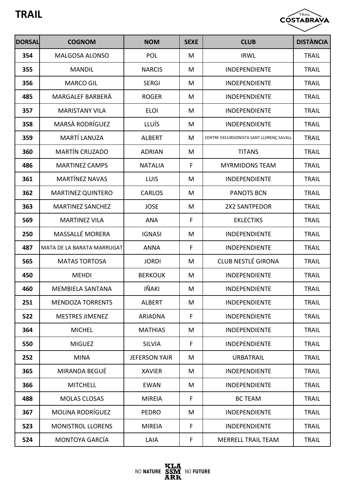

| <b>DORSAL</b> | <b>COGNOM</b>              | <b>NOM</b>           | <b>SEXE</b> | <b>CLUB</b>                              | <b>DISTÀNCIA</b> |
|---------------|----------------------------|----------------------|-------------|------------------------------------------|------------------|
| 354           | <b>MALGOSA ALONSO</b>      | <b>POL</b>           | M           | <b>IRWL</b>                              | <b>TRAIL</b>     |
| 355           | <b>MANDIL</b>              | <b>NARCIS</b>        | M           | <b>INDEPENDIENTE</b>                     | <b>TRAIL</b>     |
| 356           | <b>MARCO GIL</b>           | <b>SERGI</b>         | M           | <b>INDEPENDIENTE</b>                     | <b>TRAIL</b>     |
| 485           | MARGALEF BARBERA           | <b>ROGER</b>         | M           | <b>INDEPENDIENTE</b>                     | <b>TRAIL</b>     |
| 357           | <b>MARISTANY VILA</b>      | <b>ELOI</b>          | M           | <b>INDEPENDIENTE</b>                     | <b>TRAIL</b>     |
| 358           | MARSÀ RODRÍGUEZ            | LLUÍS                | M           | <b>INDEPENDIENTE</b>                     | <b>TRAIL</b>     |
| 359           | <b>MARTÍ LANUZA</b>        | <b>ALBERT</b>        | M           | CENTRE EXCURSIONISTA SANT LLORENÇ SAVALL | <b>TRAIL</b>     |
| 360           | <b>MARTÍN CRUZADO</b>      | <b>ADRIAN</b>        | M           | <b>TITANS</b>                            | <b>TRAIL</b>     |
| 486           | <b>MARTINEZ CAMPS</b>      | <b>NATALIA</b>       | F           | <b>MYRMIDONS TEAM</b>                    | <b>TRAIL</b>     |
| 361           | <b>MARTÍNEZ NAVAS</b>      | LUIS                 | M           | <b>INDEPENDIENTE</b>                     | <b>TRAIL</b>     |
| 362           | <b>MARTINEZ QUINTERO</b>   | <b>CARLOS</b>        | M           | <b>PANOTS BCN</b>                        | <b>TRAIL</b>     |
| 363           | <b>MARTINEZ SANCHEZ</b>    | <b>JOSE</b>          | M           | 2X2 SANTPEDOR                            | <b>TRAIL</b>     |
| 569           | <b>MARTINEZ VILA</b>       | <b>ANA</b>           | F           | <b>EKLECTIKS</b>                         | <b>TRAIL</b>     |
| 250           | <b>MASSALLÉ MORERA</b>     | <b>IGNASI</b>        | M           | <b>INDEPENDIENTE</b>                     | <b>TRAIL</b>     |
| 487           | MATA DE LA BARATA MARRUGAT | <b>ANNA</b>          | F           | INDEPENDIENTE                            | <b>TRAIL</b>     |
| 565           | <b>MATAS TORTOSA</b>       | <b>JORDI</b>         | M           | <b>CLUB NESTLÉ GIRONA</b>                | <b>TRAIL</b>     |
| 450           | <b>MEHDI</b>               | <b>BERKOUK</b>       | M           | <b>INDEPENDIENTE</b>                     | <b>TRAIL</b>     |
| 460           | <b>MEMBIELA SANTANA</b>    | IÑAKI                | Μ           | <b>INDEPENDIENTE</b>                     | <b>TRAIL</b>     |
| 251           | <b>MENDOZA TORRENTS</b>    | <b>ALBERT</b>        | M           | <b>INDEPENDIENTE</b>                     | <b>TRAIL</b>     |
| 522           | <b>MESTRES JIMENEZ</b>     | <b>ARIADNA</b>       | F           | <b>INDEPENDIENTE</b>                     | <b>TRAIL</b>     |
| 364           | <b>MICHEL</b>              | <b>MATHIAS</b>       | M           | <b>INDEPENDIENTE</b>                     | <b>TRAIL</b>     |
| 550           | <b>MIGUEZ</b>              | <b>SILVIA</b>        | F           | <b>INDEPENDIENTE</b>                     | <b>TRAIL</b>     |
| 252           | <b>MINA</b>                | <b>JEFERSON YAIR</b> | M           | <b>URBATRAIL</b>                         | <b>TRAIL</b>     |
| 365           | MIRANDA BEGUÉ              | <b>XAVIER</b>        | M           | <b>INDEPENDIENTE</b>                     | <b>TRAIL</b>     |
| 366           | <b>MITCHELL</b>            | <b>EWAN</b>          | M           | <b>INDEPENDIENTE</b>                     | <b>TRAIL</b>     |
| 488           | <b>MOLAS CLOSAS</b>        | <b>MIREIA</b>        | F           | <b>BC TEAM</b>                           | <b>TRAIL</b>     |
| 367           | <b>MOLINA RODRÍGUEZ</b>    | <b>PEDRO</b>         | M           | <b>INDEPENDIENTE</b>                     | <b>TRAIL</b>     |
| 523           | <b>MONISTROL LLORENS</b>   | <b>MIREIA</b>        | F           | <b>INDEPENDIENTE</b>                     | <b>TRAIL</b>     |
| 524           | <b>MONTOYA GARCÍA</b>      | LAIA                 | F           | <b>MERRELL TRAIL TEAM</b>                | <b>TRAIL</b>     |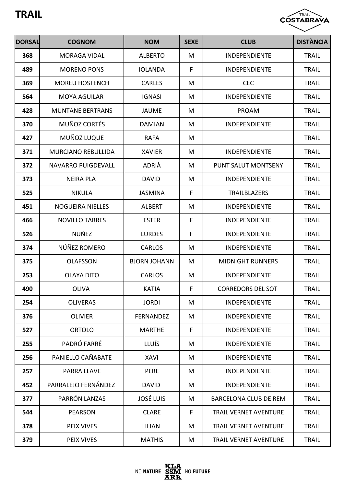

| <b>DORSAL</b> | <b>COGNOM</b>             | <b>NOM</b>          | <b>SEXE</b> | <b>CLUB</b>                  | <b>DISTÀNCIA</b> |
|---------------|---------------------------|---------------------|-------------|------------------------------|------------------|
| 368           | <b>MORAGA VIDAL</b>       | <b>ALBERTO</b>      | M           | <b>INDEPENDIENTE</b>         | <b>TRAIL</b>     |
| 489           | <b>MORENO PONS</b>        | <b>IOLANDA</b>      | F           | <b>INDEPENDIENTE</b>         | <b>TRAIL</b>     |
| 369           | <b>MOREU HOSTENCH</b>     | <b>CARLES</b>       | M           | <b>CEC</b>                   | <b>TRAIL</b>     |
| 564           | <b>MOYA AGUILAR</b>       | <b>IGNASI</b>       | M           | <b>INDEPENDIENTE</b>         | <b>TRAIL</b>     |
| 428           | <b>MUNTANE BERTRANS</b>   | <b>JAUME</b>        | M           | <b>PROAM</b>                 | <b>TRAIL</b>     |
| 370           | <b>MUÑOZ CORTÉS</b>       | <b>DAMIAN</b>       | M           | <b>INDEPENDIENTE</b>         | <b>TRAIL</b>     |
| 427           | MUÑOZ LUQUE               | <b>RAFA</b>         | M           |                              | <b>TRAIL</b>     |
| 371           | <b>MURCIANO REBULLIDA</b> | <b>XAVIER</b>       | M           | <b>INDEPENDIENTE</b>         | <b>TRAIL</b>     |
| 372           | NAVARRO PUIGDEVALL        | <b>ADRIA</b>        | M           | <b>PUNT SALUT MONTSENY</b>   | <b>TRAIL</b>     |
| 373           | <b>NEIRA PLA</b>          | <b>DAVID</b>        | M           | <b>INDEPENDIENTE</b>         | <b>TRAIL</b>     |
| 525           | <b>NIKULA</b>             | <b>JASMINA</b>      | F           | <b>TRAILBLAZERS</b>          | <b>TRAIL</b>     |
| 451           | <b>NOGUEIRA NIELLES</b>   | <b>ALBERT</b>       | M           | <b>INDEPENDIENTE</b>         | <b>TRAIL</b>     |
| 466           | <b>NOVILLO TARRES</b>     | <b>ESTER</b>        | F           | <b>INDEPENDIENTE</b>         | <b>TRAIL</b>     |
| 526           | <b>NUÑEZ</b>              | <b>LURDES</b>       | F           | <b>INDEPENDIENTE</b>         | <b>TRAIL</b>     |
| 374           | NÚÑEZ ROMERO              | <b>CARLOS</b>       | M           | <b>INDEPENDIENTE</b>         | <b>TRAIL</b>     |
| 375           | <b>OLAFSSON</b>           | <b>BJORN JOHANN</b> | M           | <b>MIDNIGHT RUNNERS</b>      | <b>TRAIL</b>     |
| 253           | <b>OLAYA DITO</b>         | <b>CARLOS</b>       | M           | <b>INDEPENDIENTE</b>         | <b>TRAIL</b>     |
| 490           | <b>OLIVA</b>              | <b>KATIA</b>        | F           | <b>CORREDORS DEL SOT</b>     | <b>TRAIL</b>     |
| 254           | <b>OLIVERAS</b>           | <b>JORDI</b>        | M           | <b>INDEPENDIENTE</b>         | <b>TRAIL</b>     |
| 376           | <b>OLIVIER</b>            | <b>FERNANDEZ</b>    | M           | <b>INDEPENDIENTE</b>         | <b>TRAIL</b>     |
| 527           | <b>ORTOLO</b>             | <b>MARTHE</b>       | F           | <b>INDEPENDIENTE</b>         | <b>TRAIL</b>     |
| 255           | PADRÓ FARRÉ               | <b>LLUÍS</b>        | M           | <b>INDEPENDIENTE</b>         | <b>TRAIL</b>     |
| 256           | PANIELLO CAÑABATE         | <b>XAVI</b>         | M           | <b>INDEPENDIENTE</b>         | <b>TRAIL</b>     |
| 257           | PARRA LLAVE               | <b>PERE</b>         | M           | <b>INDEPENDIENTE</b>         | <b>TRAIL</b>     |
| 452           | PARRALEJO FERNÁNDEZ       | <b>DAVID</b>        | M           | <b>INDEPENDIENTE</b>         | <b>TRAIL</b>     |
| 377           | PARRÓN LANZAS             | <b>JOSÉ LUIS</b>    | M           | <b>BARCELONA CLUB DE REM</b> | <b>TRAIL</b>     |
| 544           | <b>PEARSON</b>            | <b>CLARE</b>        | F           | <b>TRAIL VERNET AVENTURE</b> | <b>TRAIL</b>     |
| 378           | PEIX VIVES                | <b>LILIAN</b>       | M           | <b>TRAIL VERNET AVENTURE</b> | <b>TRAIL</b>     |
| 379           | PEIX VIVES                | <b>MATHIS</b>       | M           | <b>TRAIL VERNET AVENTURE</b> | <b>TRAIL</b>     |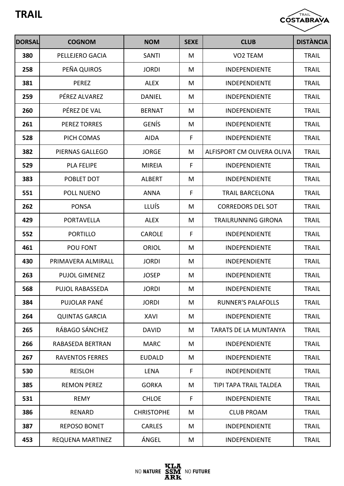

| <b>DORSAL</b> | <b>COGNOM</b>          | <b>NOM</b>        | <b>SEXE</b> | <b>CLUB</b>                  | <b>DISTÀNCIA</b> |
|---------------|------------------------|-------------------|-------------|------------------------------|------------------|
| 380           | PELLEJERO GACIA        | <b>SANTI</b>      | M           | VO2 TEAM                     | <b>TRAIL</b>     |
| 258           | PEÑA QUIROS            | <b>JORDI</b>      | M           | <b>INDEPENDIENTE</b>         | <b>TRAIL</b>     |
| 381           | <b>PEREZ</b>           | <b>ALEX</b>       | M           | <b>INDEPENDIENTE</b>         | <b>TRAIL</b>     |
| 259           | PÉREZ ALVAREZ          | <b>DANIEL</b>     | M           | <b>INDEPENDIENTE</b>         | <b>TRAIL</b>     |
| 260           | PÉREZ DE VAL           | <b>BERNAT</b>     | M           | <b>INDEPENDIENTE</b>         | <b>TRAIL</b>     |
| 261           | <b>PEREZ TORRES</b>    | <b>GENÍS</b>      | M           | <b>INDEPENDIENTE</b>         | <b>TRAIL</b>     |
| 528           | PICH COMAS             | <b>AIDA</b>       | F           | <b>INDEPENDIENTE</b>         | <b>TRAIL</b>     |
| 382           | PIERNAS GALLEGO        | <b>JORGE</b>      | M           | ALFISPORT CM OLIVERA OLIVA   | <b>TRAIL</b>     |
| 529           | <b>PLA FELIPE</b>      | <b>MIREIA</b>     | F           | <b>INDEPENDIENTE</b>         | <b>TRAIL</b>     |
| 383           | POBLET DOT             | <b>ALBERT</b>     | M           | <b>INDEPENDIENTE</b>         | <b>TRAIL</b>     |
| 551           | POLL NUENO             | <b>ANNA</b>       | F           | <b>TRAIL BARCELONA</b>       | <b>TRAIL</b>     |
| 262           | <b>PONSA</b>           | <b>LLUÍS</b>      | M           | <b>CORREDORS DEL SOT</b>     | <b>TRAIL</b>     |
| 429           | <b>PORTAVELLA</b>      | <b>ALEX</b>       | M           | <b>TRAILRUNNING GIRONA</b>   | <b>TRAIL</b>     |
| 552           | <b>PORTILLO</b>        | <b>CAROLE</b>     | F           | <b>INDEPENDIENTE</b>         | <b>TRAIL</b>     |
| 461           | POU FONT               | <b>ORIOL</b>      | M           | <b>INDEPENDIENTE</b>         | <b>TRAIL</b>     |
| 430           | PRIMAVERA ALMIRALL     | <b>JORDI</b>      | M           | <b>INDEPENDIENTE</b>         | <b>TRAIL</b>     |
| 263           | <b>PUJOL GIMENEZ</b>   | <b>JOSEP</b>      | M           | <b>INDEPENDIENTE</b>         | <b>TRAIL</b>     |
| 568           | <b>PUJOL RABASSEDA</b> | <b>JORDI</b>      | M           | <b>INDEPENDIENTE</b>         | <b>TRAIL</b>     |
| 384           | PUJOLAR PANÉ           | <b>JORDI</b>      | М           | <b>RUNNER'S PALAFOLLS</b>    | <b>TRAIL</b>     |
| 264           | <b>QUINTAS GARCIA</b>  | <b>XAVI</b>       | M           | <b>INDEPENDIENTE</b>         | <b>TRAIL</b>     |
| 265           | RÁBAGO SÁNCHEZ         | <b>DAVID</b>      | M           | <b>TARATS DE LA MUNTANYA</b> | <b>TRAIL</b>     |
| 266           | RABASEDA BERTRAN       | <b>MARC</b>       | М           | <b>INDEPENDIENTE</b>         | <b>TRAIL</b>     |
| 267           | <b>RAVENTOS FERRES</b> | <b>EUDALD</b>     | М           | <b>INDEPENDIENTE</b>         | <b>TRAIL</b>     |
| 530           | <b>REISLOH</b>         | <b>LENA</b>       | F           | INDEPENDIENTE                | <b>TRAIL</b>     |
| 385           | <b>REMON PEREZ</b>     | <b>GORKA</b>      | M           | TIPI TAPA TRAIL TALDEA       | <b>TRAIL</b>     |
| 531           | <b>REMY</b>            | <b>CHLOE</b>      | F           | <b>INDEPENDIENTE</b>         | <b>TRAIL</b>     |
| 386           | <b>RENARD</b>          | <b>CHRISTOPHE</b> | M           | <b>CLUB PROAM</b>            | <b>TRAIL</b>     |
| 387           | <b>REPOSO BONET</b>    | <b>CARLES</b>     | M           | <b>INDEPENDIENTE</b>         | <b>TRAIL</b>     |
| 453           | REQUENA MARTINEZ       | ÁNGEL             | M           | <b>INDEPENDIENTE</b>         | <b>TRAIL</b>     |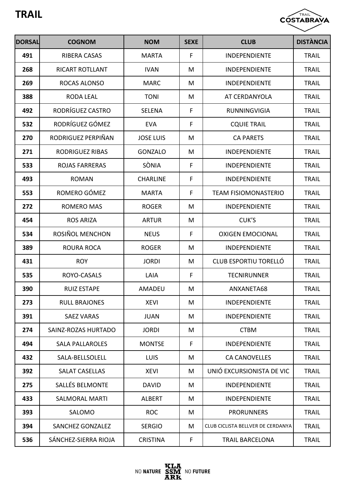

| <b>DORSAL</b> | <b>COGNOM</b>           | <b>NOM</b>       | <b>SEXE</b> | <b>CLUB</b>                       | <b>DISTÀNCIA</b> |
|---------------|-------------------------|------------------|-------------|-----------------------------------|------------------|
| 491           | <b>RIBERA CASAS</b>     | <b>MARTA</b>     | F           | <b>INDEPENDIENTE</b>              | <b>TRAIL</b>     |
| 268           | <b>RICART ROTLLANT</b>  | <b>IVAN</b>      | M           | <b>INDEPENDIENTE</b>              | <b>TRAIL</b>     |
| 269           | ROCAS ALONSO            | <b>MARC</b>      | M           | <b>INDEPENDIENTE</b>              | <b>TRAIL</b>     |
| 388           | <b>RODA LEAL</b>        | <b>TONI</b>      | M           | AT CERDANYOLA                     | <b>TRAIL</b>     |
| 492           | RODRÍGUEZ CASTRO        | <b>SELENA</b>    | F           | <b>RUNNINGVIGIA</b>               | <b>TRAIL</b>     |
| 532           | RODRÍGUEZ GÓMEZ         | <b>EVA</b>       | F           | <b>CQUIE TRAIL</b>                | <b>TRAIL</b>     |
| 270           | RODRIGUEZ PERPIÑAN      | <b>JOSE LUIS</b> | M           | <b>CA PARETS</b>                  | <b>TRAIL</b>     |
| 271           | <b>RODRIGUEZ RIBAS</b>  | <b>GONZALO</b>   | M           | <b>INDEPENDIENTE</b>              | <b>TRAIL</b>     |
| 533           | <b>ROJAS FARRERAS</b>   | SÒNIA            | F           | <b>INDEPENDIENTE</b>              | <b>TRAIL</b>     |
| 493           | <b>ROMAN</b>            | <b>CHARLINE</b>  | F           | <b>INDEPENDIENTE</b>              | <b>TRAIL</b>     |
| 553           | ROMERO GÓMEZ            | <b>MARTA</b>     | F           | <b>TEAM FISIOMONASTERIO</b>       | <b>TRAIL</b>     |
| 272           | ROMERO MAS              | <b>ROGER</b>     | M           | INDEPENDIENTE                     | <b>TRAIL</b>     |
| 454           | <b>ROS ARIZA</b>        | <b>ARTUR</b>     | M           | CUK'S                             | <b>TRAIL</b>     |
| 534           | ROSIÑOL MENCHON         | <b>NEUS</b>      | F           | <b>OXIGEN EMOCIONAL</b>           | <b>TRAIL</b>     |
| 389           | <b>ROURA ROCA</b>       | <b>ROGER</b>     | M           | <b>INDEPENDIENTE</b>              | <b>TRAIL</b>     |
| 431           | <b>ROY</b>              | <b>JORDI</b>     | M           | CLUB ESPORTIU TORELLÓ             | <b>TRAIL</b>     |
| 535           | ROYO-CASALS             | LAIA             | F           | <b>TECNIRUNNER</b>                | <b>TRAIL</b>     |
| 390           | <b>RUIZ ESTAPE</b>      | AMADEU           | M           | ANXANETA68                        | <b>TRAIL</b>     |
| 273           | <b>RULL BRAJONES</b>    | <b>XEVI</b>      | M           | <b>INDEPENDIENTE</b>              | <b>TRAIL</b>     |
| 391           | <b>SAEZ VARAS</b>       | <b>JUAN</b>      | M           | <b>INDEPENDIENTE</b>              | <b>TRAIL</b>     |
| 274           | SAINZ-ROZAS HURTADO     | <b>JORDI</b>     | M           | <b>CTBM</b>                       | <b>TRAIL</b>     |
| 494           | <b>SALA PALLAROLES</b>  | <b>MONTSE</b>    | F           | <b>INDEPENDIENTE</b>              | <b>TRAIL</b>     |
| 432           | SALA-BELLSOLELL         | LUIS             | M           | <b>CA CANOVELLES</b>              | <b>TRAIL</b>     |
| 392           | <b>SALAT CASELLAS</b>   | <b>XEVI</b>      | M           | UNIÓ EXCURSIONISTA DE VIC         | <b>TRAIL</b>     |
| 275           | <b>SALLÉS BELMONTE</b>  | <b>DAVID</b>     | M           | <b>INDEPENDIENTE</b>              | <b>TRAIL</b>     |
| 433           | <b>SALMORAL MARTI</b>   | <b>ALBERT</b>    | M           | <b>INDEPENDIENTE</b>              | <b>TRAIL</b>     |
| 393           | SALOMO                  | <b>ROC</b>       | M           | <b>PRORUNNERS</b>                 | <b>TRAIL</b>     |
| 394           | <b>SANCHEZ GONZALEZ</b> | <b>SERGIO</b>    | M           | CLUB CICLISTA BELLVER DE CERDANYA | <b>TRAIL</b>     |
| 536           | SÁNCHEZ-SIERRA RIOJA    | <b>CRISTINA</b>  | F           | <b>TRAIL BARCELONA</b>            | <b>TRAIL</b>     |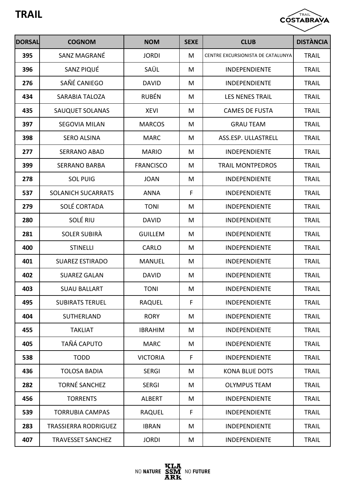